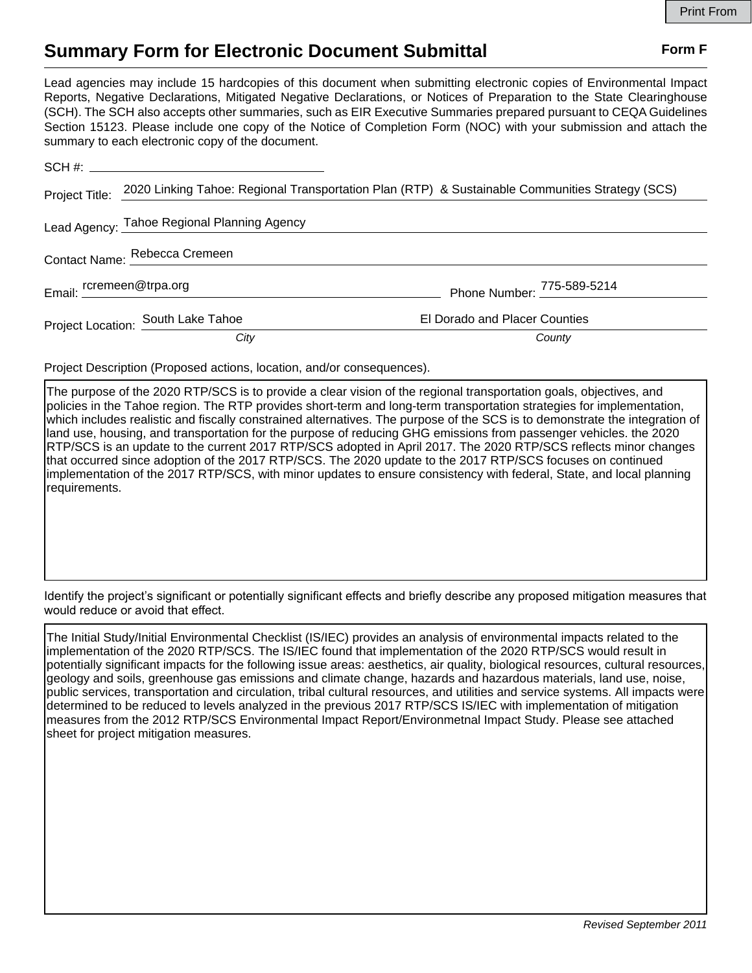## **Summary Form for Electronic Document Submittal Form F Form F**

Lead agencies may include 15 hardcopies of this document when submitting electronic copies of Environmental Impact Reports, Negative Declarations, Mitigated Negative Declarations, or Notices of Preparation to the State Clearinghouse (SCH). The SCH also accepts other summaries, such as EIR Executive Summaries prepared pursuant to CEQA Guidelines Section 15123. Please include one copy of the Notice of Completion Form (NOC) with your submission and attach the summary to each electronic copy of the document.

| Project Title:                              | 2020 Linking Tahoe: Regional Transportation Plan (RTP) & Sustainable Communities Strategy (SCS) |                               |
|---------------------------------------------|-------------------------------------------------------------------------------------------------|-------------------------------|
| Lead Agency: Tahoe Regional Planning Agency |                                                                                                 |                               |
| Contact Name: Rebecca Cremeen               |                                                                                                 |                               |
| Email: _ rcremeen@trpa.org                  |                                                                                                 | Phone Number: 775-589-5214    |
|                                             | Project Location: South Lake Tahoe                                                              | El Dorado and Placer Counties |
|                                             | City                                                                                            | County                        |

Project Description (Proposed actions, location, and/or consequences).

The purpose of the 2020 RTP/SCS is to provide a clear vision of the regional transportation goals, objectives, and policies in the Tahoe region. The RTP provides short-term and long-term transportation strategies for implementation, which includes realistic and fiscally constrained alternatives. The purpose of the SCS is to demonstrate the integration of land use, housing, and transportation for the purpose of reducing GHG emissions from passenger vehicles. the 2020 RTP/SCS is an update to the current 2017 RTP/SCS adopted in April 2017. The 2020 RTP/SCS reflects minor changes that occurred since adoption of the 2017 RTP/SCS. The 2020 update to the 2017 RTP/SCS focuses on continued implementation of the 2017 RTP/SCS, with minor updates to ensure consistency with federal, State, and local planning requirements.

Identify the project's significant or potentially significant effects and briefly describe any proposed mitigation measures that would reduce or avoid that effect.

The Initial Study/Initial Environmental Checklist (IS/IEC) provides an analysis of environmental impacts related to the implementation of the 2020 RTP/SCS. The IS/IEC found that implementation of the 2020 RTP/SCS would result in potentially significant impacts for the following issue areas: aesthetics, air quality, biological resources, cultural resources, geology and soils, greenhouse gas emissions and climate change, hazards and hazardous materials, land use, noise, public services, transportation and circulation, tribal cultural resources, and utilities and service systems. All impacts were determined to be reduced to levels analyzed in the previous 2017 RTP/SCS IS/IEC with implementation of mitigation measures from the 2012 RTP/SCS Environmental Impact Report/Environmetnal Impact Study. Please see attached sheet for project mitigation measures.